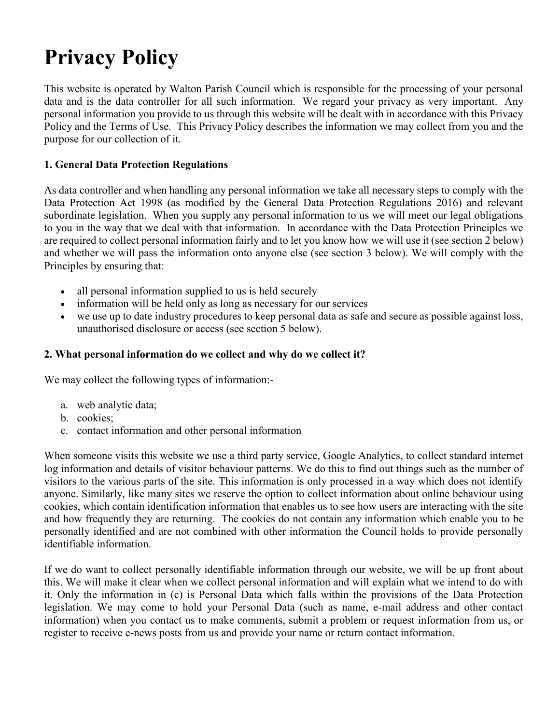# **Privacy Policy**

This website is operated by Walton Parish Council which is responsible for the processing of your personal data and is the data controller for all such information. We regard your privacy as very important. Any personal information you provide to us through this website will be dealt with in accordance with this Privacy Policy and the Terms of Use. This Privacy Policy describes the information we may collect from you and the purpose for our collection of it.

#### **1. General Data Protection Regulations**

As data controller and when handling any personal information we take all necessary steps to comply with the Data Protection Act 1998 (as modified by the General Data Protection Regulations 2016) and relevant subordinate legislation. When you supply any personal information to us we will meet our legal obligations to you in the way that we deal with that information. In accordance with the Data Protection Principles we are required to collect personal information fairly and to let you know how we will use it (see section 2 below) and whether we will pass the information onto anyone else (see section 3 below). We will comply with the Principles by ensuring that:

- all personal information supplied to us is held securely
- information will be held only as long as necessary for our services
- we use up to date industry procedures to keep personal data as safe and secure as possible against loss, unauthorised disclosure or access (see section 5 below).

#### **2. What personal information do we collect and why do we collect it?**

We may collect the following types of information:-

- a. web analytic data;
- b. cookies;
- c. contact information and other personal information

When someone visits this website we use a third party service, Google Analytics, to collect standard internet log information and details of visitor behaviour patterns. We do this to find out things such as the number of visitors to the various parts of the site. This information is only processed in a way which does not identify anyone. Similarly, like many sites we reserve the option to collect information about online behaviour using cookies, which contain identification information that enables us to see how users are interacting with the site and how frequently they are returning. The cookies do not contain any information which enable you to be personally identified and are not combined with other information the Council holds to provide personally identifiable information.

If we do want to collect personally identifiable information through our website, we will be up front about this. We will make it clear when we collect personal information and will explain what we intend to do with it. Only the information in (c) is Personal Data which falls within the provisions of the Data Protection legislation. We may come to hold your Personal Data (such as name, e-mail address and other contact information) when you contact us to make comments, submit a problem or request information from us, or register to receive e-news posts from us and provide your name or return contact information.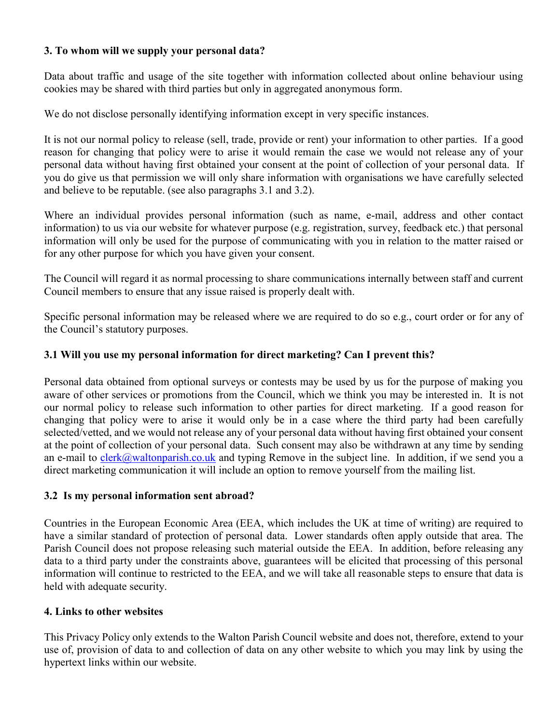# **3. To whom will we supply your personal data?**

Data about traffic and usage of the site together with information collected about online behaviour using cookies may be shared with third parties but only in aggregated anonymous form.

We do not disclose personally identifying information except in very specific instances.

It is not our normal policy to release (sell, trade, provide or rent) your information to other parties. If a good reason for changing that policy were to arise it would remain the case we would not release any of your personal data without having first obtained your consent at the point of collection of your personal data. If you do give us that permission we will only share information with organisations we have carefully selected and believe to be reputable. (see also paragraphs 3.1 and 3.2).

Where an individual provides personal information (such as name, e-mail, address and other contact information) to us via our website for whatever purpose (e.g. registration, survey, feedback etc.) that personal information will only be used for the purpose of communicating with you in relation to the matter raised or for any other purpose for which you have given your consent.

The Council will regard it as normal processing to share communications internally between staff and current Council members to ensure that any issue raised is properly dealt with.

Specific personal information may be released where we are required to do so e.g., court order or for any of the Council's statutory purposes.

# **3.1 Will you use my personal information for direct marketing? Can I prevent this?**

Personal data obtained from optional surveys or contests may be used by us for the purpose of making you aware of other services or promotions from the Council, which we think you may be interested in. It is not our normal policy to release such information to other parties for direct marketing. If a good reason for changing that policy were to arise it would only be in a case where the third party had been carefully selected/vetted, and we would not release any of your personal data without having first obtained your consent at the point of collection of your personal data. Such consent may also be withdrawn at any time by sending an e-mail to [clerk@waltonparish.co.uk](mailto:clerk@waltonparish.co.uk) and typing Remove in the subject line. In addition, if we send you a direct marketing communication it will include an option to remove yourself from the mailing list.

## **3.2 Is my personal information sent abroad?**

Countries in the European Economic Area (EEA, which includes the UK at time of writing) are required to have a similar standard of protection of personal data. Lower standards often apply outside that area. The Parish Council does not propose releasing such material outside the EEA. In addition, before releasing any data to a third party under the constraints above, guarantees will be elicited that processing of this personal information will continue to restricted to the EEA, and we will take all reasonable steps to ensure that data is held with adequate security.

## **4. Links to other websites**

This Privacy Policy only extends to the Walton Parish Council website and does not, therefore, extend to your use of, provision of data to and collection of data on any other website to which you may link by using the hypertext links within our website.